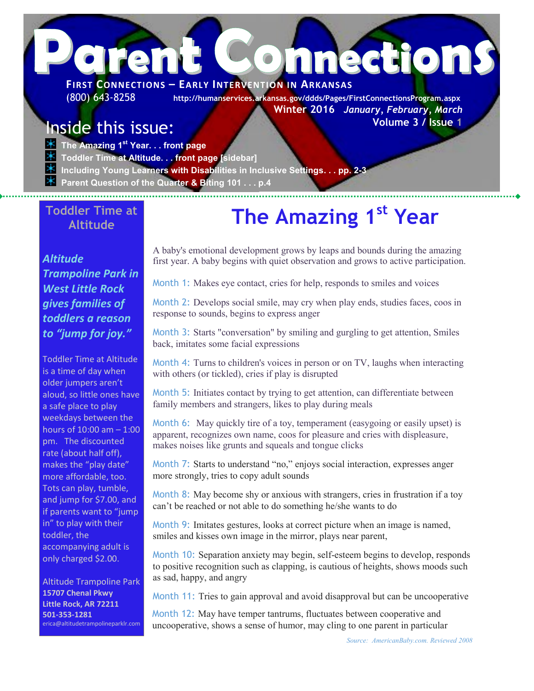# **P**<br>**PIRST CONNECTIONS – EARLY INTERVENTION IN ARKANSAS FIRST CONNECTIONS – EARLY INTERVENTION IN ARKANSAS**

(800) 643-8258 **http://humanservices.arkansas.gov/ddds/Pages/FirstConnectionsProgram.aspx Winter 2016** *January, February, March*  **Volume 3 / Issue 1**

## Inside this issue:

**The Amazing 1st Year. . . front page**

- **Toddler Time at Altitude. . . front page [sidebar]**
- **Including Young Learners with Disabilities in Inclusive Settings. . . pp. 2-3**
- **Parent Question of the Quarter & Biting 101 . . . p.4**

#### **Toddler Time at Altitude**

#### *Altitude Trampoline Park in West Little Rock gives families of toddlers a reason to "jump for joy."*

Toddler Time at Altitude is a time of day when older jumpers aren't aloud, so little ones have a safe place to play weekdays between the hours of 10:00 am – 1:00 pm. The discounted rate (about half off), makes the "play date" more affordable, too. Tots can play, tumble, and jump for \$7.00, and if parents want to "jump in" to play with their toddler, the accompanying adult is only charged \$2.00.

Altitude Trampoline Park **15707 Chenal Pkwy Little Rock, AR 72211 501-353-1281** erica@altitudetrampolineparklr.com

# **The Amazing 1st Year**

A baby's emotional development grows by leaps and bounds during the amazing first year. A baby begins with quiet observation and grows to active participation.

Month 1: Makes eye contact, cries for help, responds to smiles and voices

Month 2: Develops social smile, may cry when play ends, studies faces, coos in response to sounds, begins to express anger

Month 3: Starts "conversation" by smiling and gurgling to get attention, Smiles back, imitates some facial expressions

Month 4: Turns to children's voices in person or on TV, laughs when interacting with others (or tickled), cries if play is disrupted

Month 5: Initiates contact by trying to get attention, can differentiate between family members and strangers, likes to play during meals

Month 6: May quickly tire of a toy, temperament (easygoing or easily upset) is apparent, recognizes own name, coos for pleasure and cries with displeasure, makes noises like grunts and squeals and tongue clicks

Month 7: Starts to understand "no," enjoys social interaction, expresses anger more strongly, tries to copy adult sounds

Month 8: May become shy or anxious with strangers, cries in frustration if a toy can't be reached or not able to do something he/she wants to do

Month 9: Imitates gestures, looks at correct picture when an image is named, smiles and kisses own image in the mirror, plays near parent,

Month 10: Separation anxiety may begin, self-esteem begins to develop, responds to positive recognition such as clapping, is cautious of heights, shows moods such as sad, happy, and angry

Month 11: Tries to gain approval and avoid disapproval but can be uncooperative

Month 12: May have temper tantrums, fluctuates between cooperative and uncooperative, shows a sense of humor, may cling to one parent in particular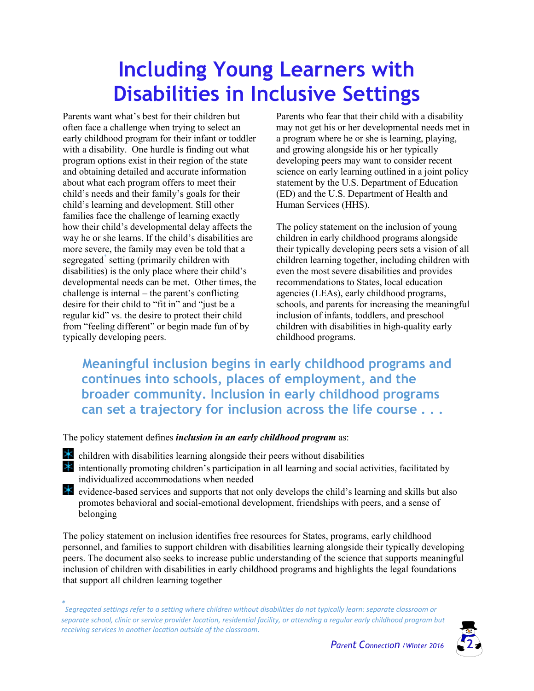# **Including Young Learners with Disabilities in Inclusive Settings**

Parents want what's best for their children but often face a challenge when trying to select an early childhood program for their infant or toddler with a disability. One hurdle is finding out what program options exist in their region of the state and obtaining detailed and accurate information about what each program offers to meet their child's needs and their family's goals for their child's learning and development. Still other families face the challenge of learning exactly how their child's developmental delay affects the way he or she learns. If the child's disabilities are more severe, the family may even be told that a segregated<sup>\*</sup> setting (primarily children with disabilities) is the only place where their child's developmental needs can be met. Other times, the challenge is internal – the parent's conflicting desire for their child to "fit in" and "just be a regular kid" vs. the desire to protect their child from "feeling different" or begin made fun of by typically developing peers.

Parents who fear that their child with a disability may not get his or her developmental needs met in a program where he or she is learning, playing, and growing alongside his or her typically developing peers may want to consider recent science on early learning outlined in a joint policy statement by the U.S. Department of Education (ED) and the U.S. Department of Health and Human Services (HHS).

The policy statement on the inclusion of young children in early childhood programs alongside their typically developing peers sets a vision of all children learning together, including children with even the most severe disabilities and provides recommendations to States, local education agencies (LEAs), early childhood programs, schools, and parents for increasing the meaningful inclusion of infants, toddlers, and preschool children with disabilities in high-quality early childhood programs.

**Meaningful inclusion begins in early childhood programs and continues into schools, places of employment, and the broader community. Inclusion in early childhood programs can set a trajectory for inclusion across the life course . . .**

The policy statement defines *inclusion in an early childhood program* as:

- children with disabilities learning alongside their peers without disabilities 寒 intentionally promoting children's participation in all learning and social activities, facilitated by individualized accommodations when needed
- ☀ evidence-based services and supports that not only develops the child's learning and skills but also promotes behavioral and social-emotional development, friendships with peers, and a sense of belonging

The policy statement on inclusion identifies free resources for States, programs, early childhood personnel, and families to support children with disabilities learning alongside their typically developing peers. The document also seeks to increase public understanding of the science that supports meaningful inclusion of children with disabilities in early childhood programs and highlights the legal foundations that support all children learning together

*<sup>\*</sup> Segregated settings refer to a setting where children without disabilities do not typically learn: separate classroom or separate school, clinic or service provider location, residential facility, or attending a regular early childhood program but receiving services in another location outside of the classroom.* 

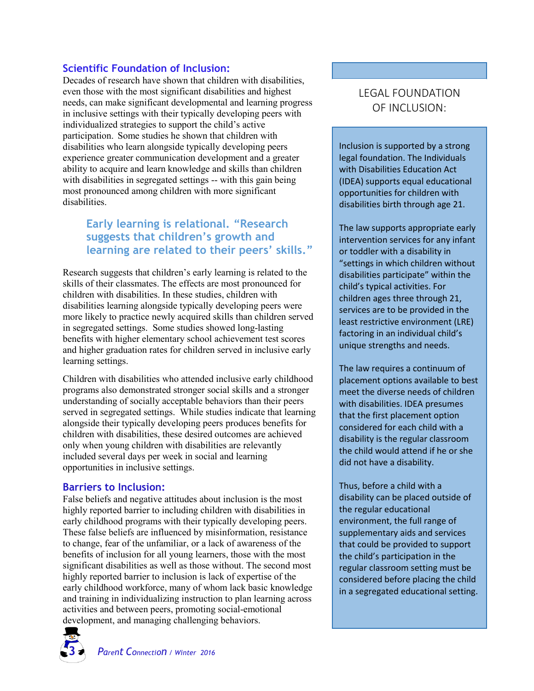#### **Scientific Foundation of Inclusion:**

Decades of research have shown that children with disabilities, even those with the most significant disabilities and highest needs, can make significant developmental and learning progress in inclusive settings with their typically developing peers with individualized strategies to support the child's active participation. Some studies he shown that children with disabilities who learn alongside typically developing peers experience greater communication development and a greater ability to acquire and learn knowledge and skills than children with disabilities in segregated settings -- with this gain being most pronounced among children with more significant disabilities.

#### **Early learning is relational. "Research suggests that children's growth and learning are related to their peers' skills."**

Research suggests that children's early learning is related to the skills of their classmates. The effects are most pronounced for children with disabilities. In these studies, children with disabilities learning alongside typically developing peers were more likely to practice newly acquired skills than children served in segregated settings. Some studies showed long-lasting benefits with higher elementary school achievement test scores and higher graduation rates for children served in inclusive early learning settings.

Children with disabilities who attended inclusive early childhood programs also demonstrated stronger social skills and a stronger understanding of socially acceptable behaviors than their peers served in segregated settings. While studies indicate that learning alongside their typically developing peers produces benefits for children with disabilities, these desired outcomes are achieved only when young children with disabilities are relevantly included several days per week in social and learning opportunities in inclusive settings.

#### **Barriers to Inclusion:**

False beliefs and negative attitudes about inclusion is the most highly reported barrier to including children with disabilities in early childhood programs with their typically developing peers. These false beliefs are influenced by misinformation, resistance to change, fear of the unfamiliar, or a lack of awareness of the benefits of inclusion for all young learners, those with the most significant disabilities as well as those without. The second most highly reported barrier to inclusion is lack of expertise of the early childhood workforce, many of whom lack basic knowledge and training in individualizing instruction to plan learning across activities and between peers, promoting social-emotional development, and managing challenging behaviors.

#### LEGAL FOUNDATION OF INCLUSION:

Inclusion is supported by a strong legal foundation. The Individuals with Disabilities Education Act (IDEA) supports equal educational opportunities for children with disabilities birth through age 21.

The law supports appropriate early intervention services for any infant or toddler with a disability in "settings in which children without disabilities participate" within the child's typical activities. For children ages three through 21, services are to be provided in the least restrictive environment (LRE) factoring in an individual child's unique strengths and needs.

The law requires a continuum of placement options available to best meet the diverse needs of children with disabilities. IDEA presumes that the first placement option considered for each child with a disability is the regular classroom the child would attend if he or she did not have a disability.

Thus, before a child with a disability can be placed outside of the regular educational environment, the full range of supplementary aids and services that could be provided to support the child's participation in the regular classroom setting must be considered before placing the child in a segregated educational setting.